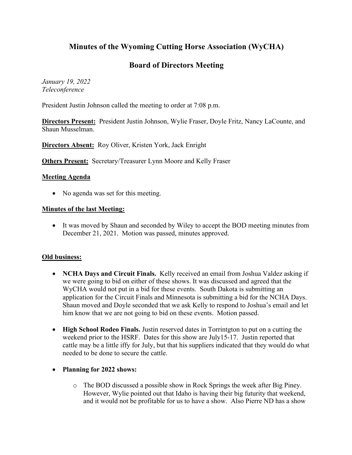# **Minutes of the Wyoming Cutting Horse Association (WyCHA)**

# **Board of Directors Meeting**

*January 19, 2022 Teleconference*

President Justin Johnson called the meeting to order at 7:08 p.m.

**Directors Present:** President Justin Johnson, Wylie Fraser, Doyle Fritz, Nancy LaCounte, and Shaun Musselman.

**Directors Absent:** Roy Oliver, Kristen York, Jack Enright

**Others Present:** Secretary/Treasurer Lynn Moore and Kelly Fraser

#### **Meeting Agenda**

• No agenda was set for this meeting.

#### **Minutes of the last Meeting:**

• It was moved by Shaun and seconded by Wiley to accept the BOD meeting minutes from December 21, 2021. Motion was passed, minutes approved.

## **Old business:**

- **NCHA Days and Circuit Finals.** Kelly received an email from Joshua Valdez asking if we were going to bid on either of these shows. It was discussed and agreed that the WyCHA would not put in a bid for these events. South Dakota is submitting an application for the Circuit Finals and Minnesota is submitting a bid for the NCHA Days. Shaun moved and Doyle seconded that we ask Kelly to respond to Joshua's email and let him know that we are not going to bid on these events. Motion passed.
- **High School Rodeo Finals.** Justin reserved dates in Torrintgton to put on a cutting the weekend prior to the HSRF. Dates for this show are July15-17. Justin reported that cattle may be a little iffy for July, but that his suppliers indicated that they would do what needed to be done to secure the cattle.

## • **Planning for 2022 shows:**

o The BOD discussed a possible show in Rock Springs the week after Big Piney. However, Wylie pointed out that Idaho is having their big futurity that weekend, and it would not be profitable for us to have a show. Also Pierre ND has a show